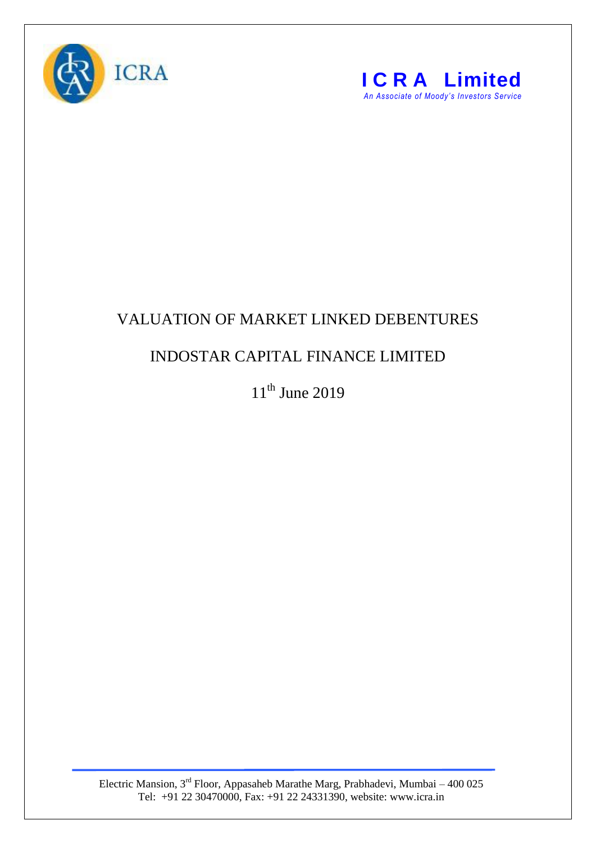



## VALUATION OF MARKET LINKED DEBENTURES

## INDOSTAR CAPITAL FINANCE LIMITED

 $11<sup>th</sup>$  June 2019

Electric Mansion,  $3<sup>rd</sup>$  Floor, Appasaheb Marathe Marg, Prabhadevi, Mumbai – 400 025 Tel: +91 22 30470000, Fax: +91 22 24331390, website: www.icra.in